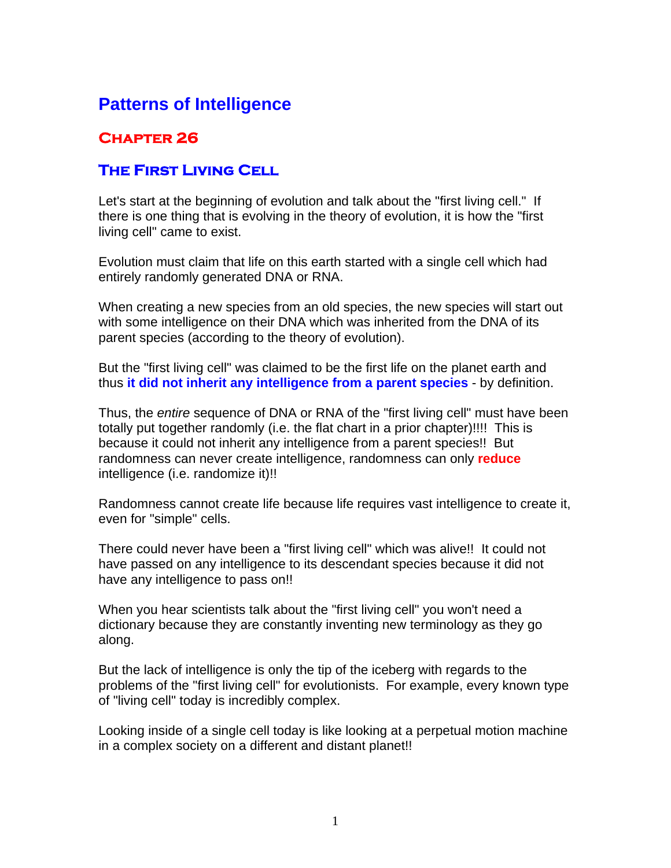## **Patterns of Intelligence**

## **Chapter 26**

## **The First Living Cell**

Let's start at the beginning of evolution and talk about the "first living cell." If there is one thing that is evolving in the theory of evolution, it is how the "first living cell" came to exist.

Evolution must claim that life on this earth started with a single cell which had entirely randomly generated DNA or RNA.

When creating a new species from an old species, the new species will start out with some intelligence on their DNA which was inherited from the DNA of its parent species (according to the theory of evolution).

But the "first living cell" was claimed to be the first life on the planet earth and thus **it did not inherit any intelligence from a parent species** - by definition.

Thus, the *entire* sequence of DNA or RNA of the "first living cell" must have been totally put together randomly (i.e. the flat chart in a prior chapter)!!!! This is because it could not inherit any intelligence from a parent species!! But randomness can never create intelligence, randomness can only **reduce** intelligence (i.e. randomize it)!!

Randomness cannot create life because life requires vast intelligence to create it, even for "simple" cells.

There could never have been a "first living cell" which was alive!! It could not have passed on any intelligence to its descendant species because it did not have any intelligence to pass on!!

When you hear scientists talk about the "first living cell" you won't need a dictionary because they are constantly inventing new terminology as they go along.

But the lack of intelligence is only the tip of the iceberg with regards to the problems of the "first living cell" for evolutionists. For example, every known type of "living cell" today is incredibly complex.

Looking inside of a single cell today is like looking at a perpetual motion machine in a complex society on a different and distant planet!!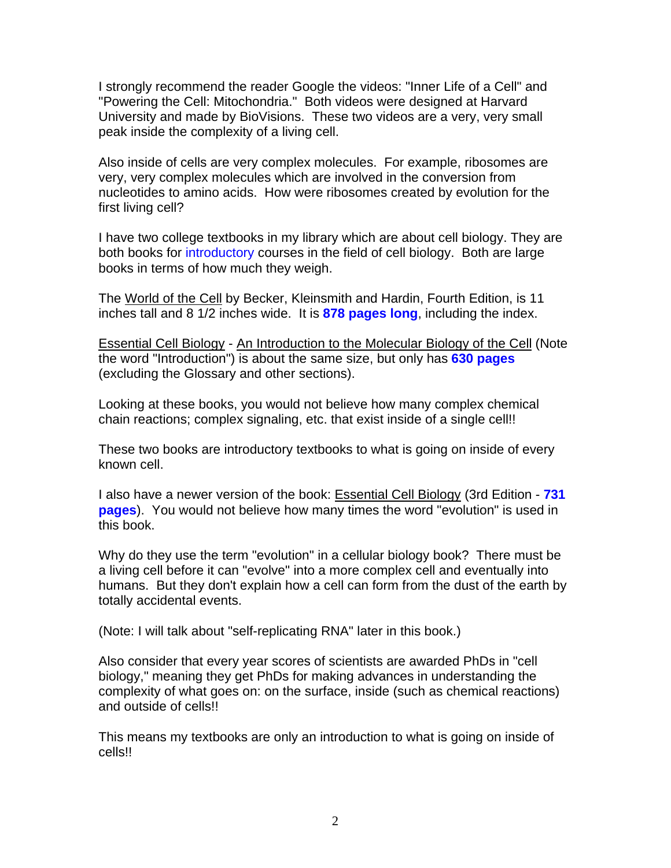I strongly recommend the reader Google the videos: "Inner Life of a Cell" and "Powering the Cell: Mitochondria." Both videos were designed at Harvard University and made by BioVisions. These two videos are a very, very small peak inside the complexity of a living cell.

Also inside of cells are very complex molecules. For example, ribosomes are very, very complex molecules which are involved in the conversion from nucleotides to amino acids. How were ribosomes created by evolution for the first living cell?

I have two college textbooks in my library which are about cell biology. They are both books for introductory courses in the field of cell biology. Both are large books in terms of how much they weigh.

The World of the Cell by Becker, Kleinsmith and Hardin, Fourth Edition, is 11 inches tall and 8 1/2 inches wide. It is **878 pages long**, including the index.

Essential Cell Biology - An Introduction to the Molecular Biology of the Cell (Note the word "Introduction") is about the same size, but only has **630 pages**  (excluding the Glossary and other sections).

Looking at these books, you would not believe how many complex chemical chain reactions; complex signaling, etc. that exist inside of a single cell!!

These two books are introductory textbooks to what is going on inside of every known cell.

I also have a newer version of the book: Essential Cell Biology (3rd Edition - **731 pages**). You would not believe how many times the word "evolution" is used in this book.

Why do they use the term "evolution" in a cellular biology book? There must be a living cell before it can "evolve" into a more complex cell and eventually into humans. But they don't explain how a cell can form from the dust of the earth by totally accidental events.

(Note: I will talk about "self-replicating RNA" later in this book.)

Also consider that every year scores of scientists are awarded PhDs in "cell biology," meaning they get PhDs for making advances in understanding the complexity of what goes on: on the surface, inside (such as chemical reactions) and outside of cells!!

This means my textbooks are only an introduction to what is going on inside of cells!!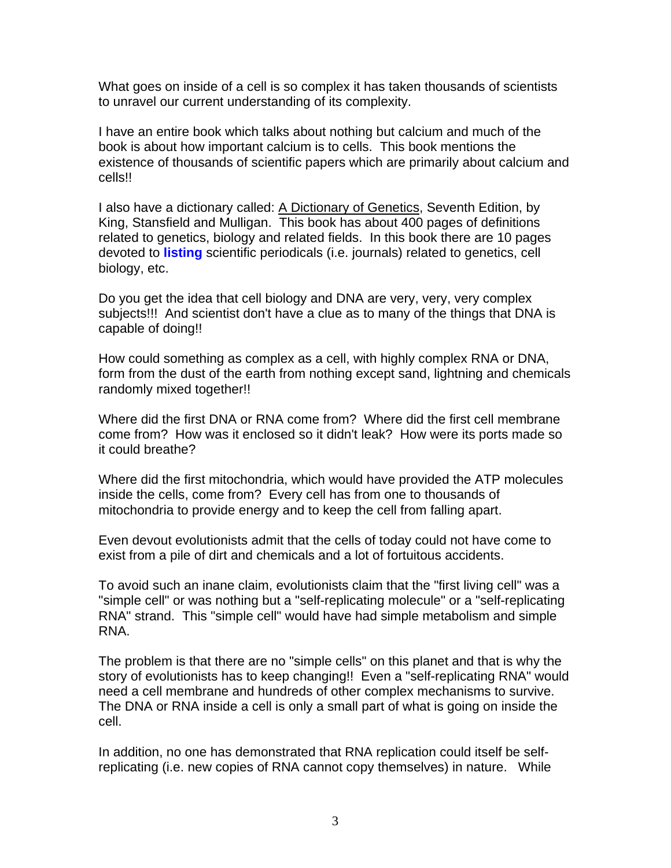What goes on inside of a cell is so complex it has taken thousands of scientists to unravel our current understanding of its complexity.

I have an entire book which talks about nothing but calcium and much of the book is about how important calcium is to cells. This book mentions the existence of thousands of scientific papers which are primarily about calcium and cells!!

I also have a dictionary called: A Dictionary of Genetics, Seventh Edition, by King, Stansfield and Mulligan. This book has about 400 pages of definitions related to genetics, biology and related fields. In this book there are 10 pages devoted to **listing** scientific periodicals (i.e. journals) related to genetics, cell biology, etc.

Do you get the idea that cell biology and DNA are very, very, very complex subjects!!! And scientist don't have a clue as to many of the things that DNA is capable of doing!!

How could something as complex as a cell, with highly complex RNA or DNA, form from the dust of the earth from nothing except sand, lightning and chemicals randomly mixed together!!

Where did the first DNA or RNA come from? Where did the first cell membrane come from? How was it enclosed so it didn't leak? How were its ports made so it could breathe?

Where did the first mitochondria, which would have provided the ATP molecules inside the cells, come from? Every cell has from one to thousands of mitochondria to provide energy and to keep the cell from falling apart.

Even devout evolutionists admit that the cells of today could not have come to exist from a pile of dirt and chemicals and a lot of fortuitous accidents.

To avoid such an inane claim, evolutionists claim that the "first living cell" was a "simple cell" or was nothing but a "self-replicating molecule" or a "self-replicating RNA" strand. This "simple cell" would have had simple metabolism and simple RNA.

The problem is that there are no "simple cells" on this planet and that is why the story of evolutionists has to keep changing!! Even a "self-replicating RNA" would need a cell membrane and hundreds of other complex mechanisms to survive. The DNA or RNA inside a cell is only a small part of what is going on inside the cell.

In addition, no one has demonstrated that RNA replication could itself be selfreplicating (i.e. new copies of RNA cannot copy themselves) in nature. While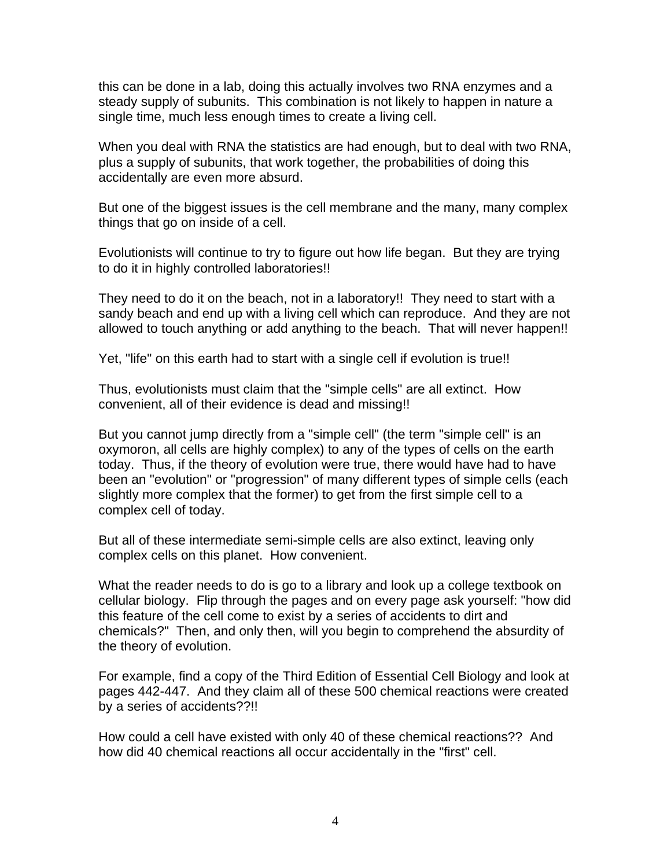this can be done in a lab, doing this actually involves two RNA enzymes and a steady supply of subunits. This combination is not likely to happen in nature a single time, much less enough times to create a living cell.

When you deal with RNA the statistics are had enough, but to deal with two RNA, plus a supply of subunits, that work together, the probabilities of doing this accidentally are even more absurd.

But one of the biggest issues is the cell membrane and the many, many complex things that go on inside of a cell.

Evolutionists will continue to try to figure out how life began. But they are trying to do it in highly controlled laboratories!!

They need to do it on the beach, not in a laboratory!! They need to start with a sandy beach and end up with a living cell which can reproduce. And they are not allowed to touch anything or add anything to the beach. That will never happen!!

Yet, "life" on this earth had to start with a single cell if evolution is true!!

Thus, evolutionists must claim that the "simple cells" are all extinct. How convenient, all of their evidence is dead and missing!!

But you cannot jump directly from a "simple cell" (the term "simple cell" is an oxymoron, all cells are highly complex) to any of the types of cells on the earth today. Thus, if the theory of evolution were true, there would have had to have been an "evolution" or "progression" of many different types of simple cells (each slightly more complex that the former) to get from the first simple cell to a complex cell of today.

But all of these intermediate semi-simple cells are also extinct, leaving only complex cells on this planet. How convenient.

What the reader needs to do is go to a library and look up a college textbook on cellular biology. Flip through the pages and on every page ask yourself: "how did this feature of the cell come to exist by a series of accidents to dirt and chemicals?" Then, and only then, will you begin to comprehend the absurdity of the theory of evolution.

For example, find a copy of the Third Edition of Essential Cell Biology and look at pages 442-447. And they claim all of these 500 chemical reactions were created by a series of accidents??!!

How could a cell have existed with only 40 of these chemical reactions?? And how did 40 chemical reactions all occur accidentally in the "first" cell.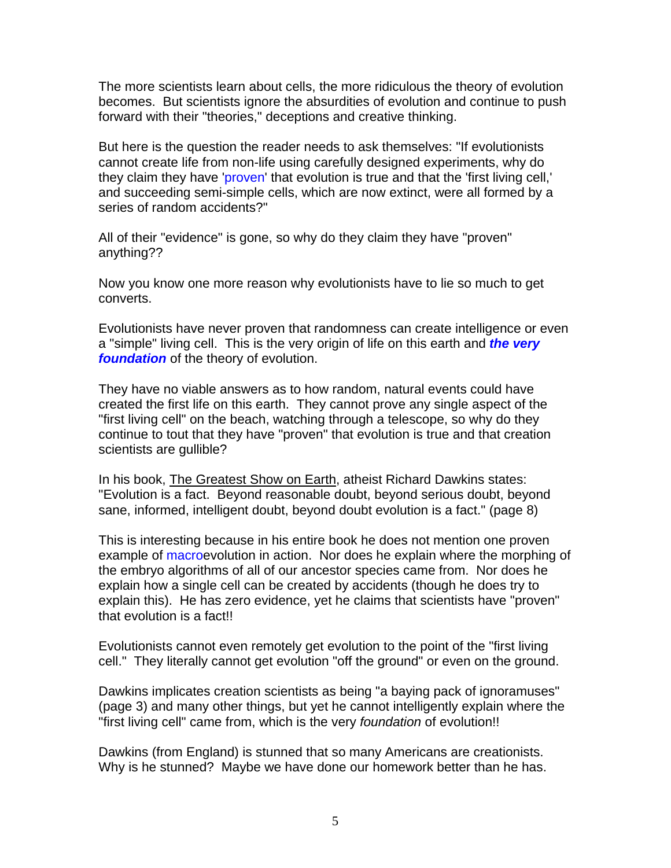The more scientists learn about cells, the more ridiculous the theory of evolution becomes. But scientists ignore the absurdities of evolution and continue to push forward with their "theories," deceptions and creative thinking.

But here is the question the reader needs to ask themselves: "If evolutionists cannot create life from non-life using carefully designed experiments, why do they claim they have 'proven' that evolution is true and that the 'first living cell,' and succeeding semi-simple cells, which are now extinct, were all formed by a series of random accidents?"

All of their "evidence" is gone, so why do they claim they have "proven" anything??

Now you know one more reason why evolutionists have to lie so much to get converts.

Evolutionists have never proven that randomness can create intelligence or even a "simple" living cell. This is the very origin of life on this earth and *the very foundation* of the theory of evolution.

They have no viable answers as to how random, natural events could have created the first life on this earth. They cannot prove any single aspect of the "first living cell" on the beach, watching through a telescope, so why do they continue to tout that they have "proven" that evolution is true and that creation scientists are gullible?

In his book, The Greatest Show on Earth, atheist Richard Dawkins states: "Evolution is a fact. Beyond reasonable doubt, beyond serious doubt, beyond sane, informed, intelligent doubt, beyond doubt evolution is a fact." (page 8)

This is interesting because in his entire book he does not mention one proven example of macroevolution in action. Nor does he explain where the morphing of the embryo algorithms of all of our ancestor species came from. Nor does he explain how a single cell can be created by accidents (though he does try to explain this). He has zero evidence, yet he claims that scientists have "proven" that evolution is a fact!!

Evolutionists cannot even remotely get evolution to the point of the "first living cell." They literally cannot get evolution "off the ground" or even on the ground.

Dawkins implicates creation scientists as being "a baying pack of ignoramuses" (page 3) and many other things, but yet he cannot intelligently explain where the "first living cell" came from, which is the very *foundation* of evolution!!

Dawkins (from England) is stunned that so many Americans are creationists. Why is he stunned? Maybe we have done our homework better than he has.